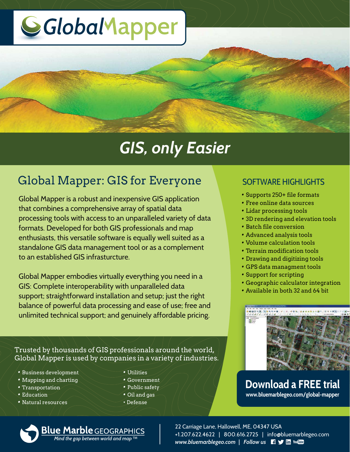

# **GIS, only Easier**

*GIS, only Easier*

# Global Mapper: GIS for Everyone

Global Mapper is a robust and inexpensive GIS application that combines a comprehensive array of spatial data processing tools with access to an unparalleled variety of data formats. Developed for both GIS professionals and map enthusiasts, this versatile software is equally well suited as a standalone GIS data management tool or as a complement to an established GIS infrasturcture.

Global Mapper embodies virtually everything you need in a GIS: Complete interoperability with unparalleled data support; straightforward installation and setup; just the right balance of powerful data processing and ease of use; free and unlimited technical support; and genuinely affordable pricing.

Trusted by thousands of GIS professionals around the world, Global Mapper is used by companies in a variety of industries.

- Business development
- Mapping and charting
- Transportation
- Education
- *•*Natural resources
- Utilities
- Government
- Public safety
- Oil and gas
- Defense

### SOFTWARE HIGHLIGHTS

- Supports 250+ file formats
- Free online data sources
- Lidar processing tools
- 3D rendering and elevation tools
- Batch file conversion
- Advanced analysis tools
- Volume calculation tools
- Terrain modification tools
- Drawing and digitizing tools
- GPS data managment tools
- Support for scripting
- Geographic calculator integration
- Available in both 32 and 64 bit



## **Download a FREE trial**

**www.bluemarblegeo.com/global-mapper** 



22 Carriage Lane, Hallowell, ME, 04347 USA +1.207.622.4622 | 800.616.2725 | info@bluemarblegeo.com *www.bluemarblegeo.com* | Follow us **Fi Y in** YouTube